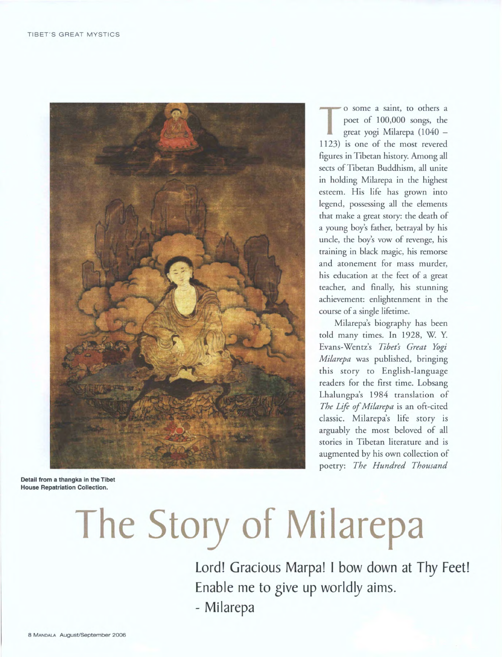

**T** o some a saint, to others a poet of 100,000 songs, the great yogi Milarepa (1040 — 1123) is one of the most revered figures in Tibetan history. Among all sects of Tibetan Buddhism, all unite in holding Milarepa in the highest esteem. His life has grown into legend, possessing all the elements that make a great story: the death of a young boy's father, betrayal by his uncle, the boy's vow of revenge, his training in black magic, his remorse and atonement for mass murder, his education at the feet of a great teacher, and finally, his stunning achievement: enlightenment in the course of a single lifetime.

Milarepa's biography has been told many times. In 1928, W. Y. Evans-Wentz's *Tibet's Great Yogi Milarepa* was published, bringing this story to English-language readers for the first time. Lobsang Lhalungpa's 1984 translation of *The Life of Milarepa* is an oft-cited classic. Milarepa's life story is arguably the most beloved of all stories in Tibetan literature and is augmented by his own collection of poetry: *The Hundred Thousand* 

**Detail from a thangka in the Tibet House Repatriation Collection.** 

## **The Story of Milarepa**

Lord! Gracious Marpa! I bow down at Thy Feet! Enable me to give up worldly aims. - Milarepa